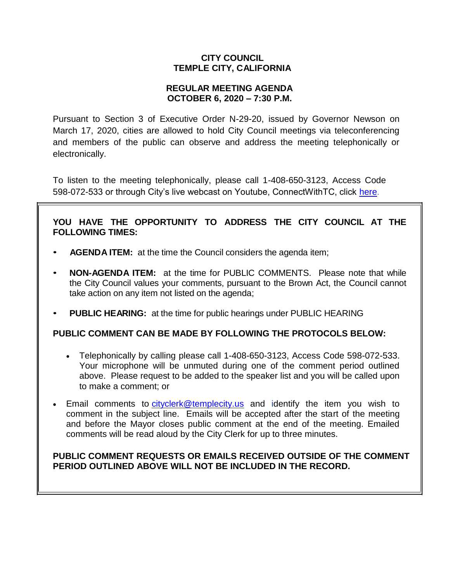# **CITY COUNCIL TEMPLE CITY, CALIFORNIA**

## **REGULAR MEETING AGENDA OCTOBER 6, 2020 – 7:30 P.M.**

Pursuant to Section 3 of Executive Order N-29-20, issued by Governor Newson on March 17, 2020, cities are allowed to hold City Council meetings via teleconferencing and members of the public can observe and address the meeting telephonically or electronically.

To listen to the meeting telephonically, please call 1-408-650-3123, Access Code 598-072-533 or through City's live webcast on Youtube, ConnectWithTC, click [here.](https://www.ci.temple-city.ca.us/516/Meeting-Webcast)

# **YOU HAVE THE OPPORTUNITY TO ADDRESS THE CITY COUNCIL AT THE FOLLOWING TIMES:**

- **AGENDA ITEM:** at the time the Council considers the agenda item;
- **NON-AGENDA ITEM:** at the time for PUBLIC COMMENTS. Please note that while the City Council values your comments, pursuant to the Brown Act, the Council cannot take action on any item not listed on the agenda;
- **PUBLIC HEARING:** at the time for public hearings under PUBLIC HEARING

## **PUBLIC COMMENT CAN BE MADE BY FOLLOWING THE PROTOCOLS BELOW:**

- Telephonically by calling please call 1-408-650-3123, Access Code 598-072-533. Your microphone will be unmuted during one of the comment period outlined above. Please request to be added to the speaker list and you will be called upon to make a comment; or
- Email comments to [cityclerk@templecity.us](mailto:cityclerk@templecity.us) and identify the item you wish to comment in the subject line. Emails will be accepted after the start of the meeting and before the Mayor closes public comment at the end of the meeting. Emailed comments will be read aloud by the City Clerk for up to three minutes.

# **PUBLIC COMMENT REQUESTS OR EMAILS RECEIVED OUTSIDE OF THE COMMENT PERIOD OUTLINED ABOVE WILL NOT BE INCLUDED IN THE RECORD.**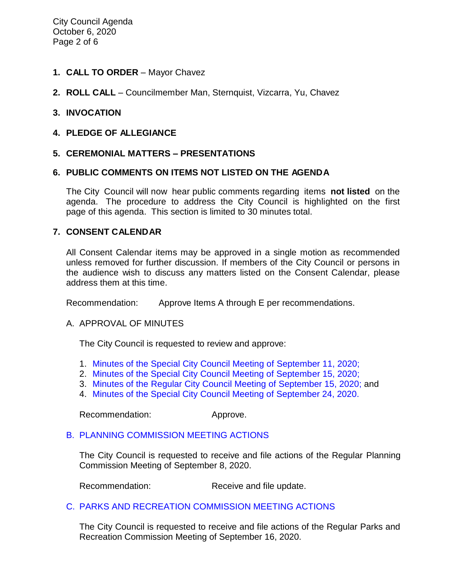- **1. CALL TO ORDER**  Mayor Chavez
- **2. ROLL CALL**  Councilmember Man, Sternquist, Vizcarra, Yu, Chavez

#### **3. INVOCATION**

**4. PLEDGE OF ALLEGIANCE**

#### **5. CEREMONIAL MATTERS – PRESENTATIONS**

#### **6. PUBLIC COMMENTS ON ITEMS NOT LISTED ON THE AGENDA**

The City Council will now hear public comments regarding items **not listed** on the agenda. The procedure to address the City Council is highlighted on the first page of this agenda. This section is limited to 30 minutes total.

#### **7. CONSENT CALENDAR**

All Consent Calendar items may be approved in a single motion as recommended unless removed for further discussion. If members of the City Council or persons in the audience wish to discuss any matters listed on the Consent Calendar, please address them at this time.

Recommendation: Approve Items A through E per recommendations.

#### A. APPROVAL OF MINUTES

The City Council is requested to review and approve:

- 1. Minutes of the Special [City Council Meeting of](https://ca-templecity.civicplus.com/DocumentCenter/View/15135/03-7A1_CCM---2020-09-11-Special) September 11, 2020;
- 2. [Minutes of the Special City Council Meeting of September 15, 2020;](https://ca-templecity.civicplus.com/DocumentCenter/View/15136/04-7A2_CCM---2020-09-15-Special)
- 3. [Minutes of the Regular City Council Meeting of September 15, 2020;](https://ca-templecity.civicplus.com/DocumentCenter/View/15137/05-7A3_CCM---2020-09-15) and
- 4. [Minutes of the Special City Council Meeting of September 24, 2020.](https://ca-templecity.civicplus.com/DocumentCenter/View/15138/06-7A4_CCM---2020-09-24-Sheriff-Monthly)

Recommendation: Approve.

## B. [PLANNING COMMISSION MEETING ACTIONS](https://ca-templecity.civicplus.com/DocumentCenter/View/15139/07-7B_PC-Actions_Staff-Report-2020-09-8_final)

The City Council is requested to receive and file actions of the Regular Planning Commission Meeting of September 8, 2020.

Recommendation: Receive and file update.

## C. [PARKS AND RECREATION COMMISSION MEETING ACTIONS](https://ca-templecity.civicplus.com/DocumentCenter/View/15129/08-7C_PRC-Regular-Meeting-Actions_Staff-Report-2020-09-16)

The City Council is requested to receive and file actions of the Regular Parks and Recreation Commission Meeting of September 16, 2020.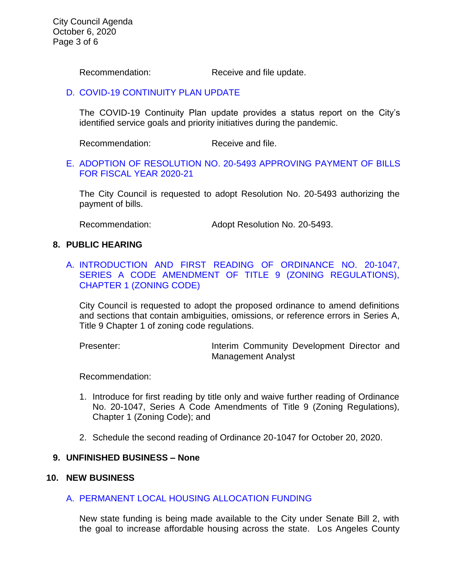Recommendation: Receive and file update.

#### D. [COVID-19 CONTINUITY PLAN UPDATE](https://ca-templecity.civicplus.com/DocumentCenter/View/15130/09-7D_ContPlan_staff-report_final-with-attachments)

The COVID-19 Continuity Plan update provides a status report on the City's identified service goals and priority initiatives during the pandemic.

Recommendation: Receive and file.

## E. [ADOPTION OF RESOLUTION NO. 20-5493](https://ca-templecity.civicplus.com/DocumentCenter/View/15131/10-7E_Warrant-Register_Reso-No-20-5493-with-attachment) APPROVING PAYMENT OF BILLS [FOR FISCAL YEAR 2020-21](https://ca-templecity.civicplus.com/DocumentCenter/View/15131/10-7E_Warrant-Register_Reso-No-20-5493-with-attachment)

The City Council is requested to adopt Resolution No. 20-5493 authorizing the payment of bills.

Recommendation: Adopt Resolution No. 20-5493.

#### **8. PUBLIC HEARING**

A. [INTRODUCTION AND FIRST READING OF ORDINANCE NO. 20-1047,](https://ca-templecity.civicplus.com/DocumentCenter/View/15132/11-8A_Public-Hearing_Series-A-Ordinance_Staff-Report_Revised_92320_final-with-attachments)  SERIES A CODE AMENDMENT OF TITLE 9 (ZONING REGULATIONS), [CHAPTER 1 \(ZONING CODE\)](https://ca-templecity.civicplus.com/DocumentCenter/View/15132/11-8A_Public-Hearing_Series-A-Ordinance_Staff-Report_Revised_92320_final-with-attachments)

City Council is requested to adopt the proposed ordinance to amend definitions and sections that contain ambiguities, omissions, or reference errors in Series A, Title 9 Chapter 1 of zoning code regulations.

Presenter: **Interim Community Development Director and** Management Analyst

Recommendation:

- 1. Introduce for first reading by title only and waive further reading of Ordinance No. 20-1047, Series A Code Amendments of Title 9 (Zoning Regulations), Chapter 1 (Zoning Code); and
- 2. Schedule the second reading of Ordinance 20-1047 for October 20, 2020.

#### **9. UNFINISHED BUSINESS – None**

#### **10. NEW BUSINESS**

## A. [PERMANENT LOCAL HOUSING ALLOCATION FUNDING](https://ca-templecity.civicplus.com/DocumentCenter/View/15133/12-10A_PLHA_Staff-Report_final-with-attachments)

New state funding is being made available to the City under Senate Bill 2, with the goal to increase affordable housing across the state. Los Angeles County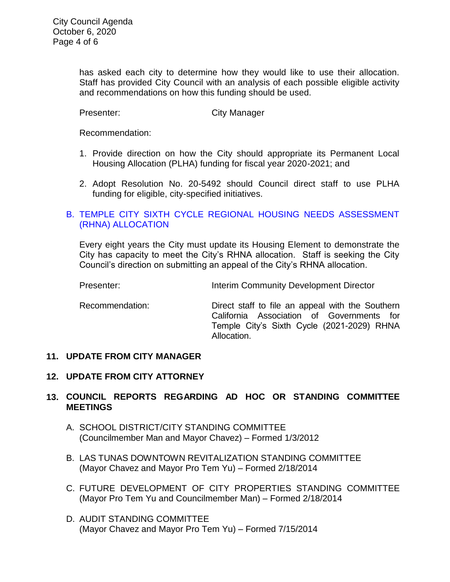has asked each city to determine how they would like to use their allocation. Staff has provided City Council with an analysis of each possible eligible activity and recommendations on how this funding should be used.

Presenter: City Manager

Recommendation:

- 1. Provide direction on how the City should appropriate its Permanent Local Housing Allocation (PLHA) funding for fiscal year 2020-2021; and
- 2. Adopt Resolution No. 20-5492 should Council direct staff to use PLHA funding for eligible, city-specified initiatives.

# B. [TEMPLE CITY SIXTH CYCLE REGIONAL HOUSING NEEDS ASSESSMENT](https://ca-templecity.civicplus.com/DocumentCenter/View/15134/13-10B_RHNA_Staff-Report_final-with-attachments)  [\(RHNA\) ALLOCATION](https://ca-templecity.civicplus.com/DocumentCenter/View/15134/13-10B_RHNA_Staff-Report_final-with-attachments)

Every eight years the City must update its Housing Element to demonstrate the City has capacity to meet the City's RHNA allocation. Staff is seeking the City Council's direction on submitting an appeal of the City's RHNA allocation.

Presenter: **Interim Community Development Director** 

Recommendation: Direct staff to file an appeal with the Southern California Association of Governments for Temple City's Sixth Cycle (2021-2029) RHNA Allocation.

## **11. UPDATE FROM CITY MANAGER**

## **12. UPDATE FROM CITY ATTORNEY**

# **13. COUNCIL REPORTS REGARDING AD HOC OR STANDING COMMITTEE MEETINGS**

- A. SCHOOL DISTRICT/CITY STANDING COMMITTEE (Councilmember Man and Mayor Chavez) – Formed 1/3/2012
- B. LAS TUNAS DOWNTOWN REVITALIZATION STANDING COMMITTEE (Mayor Chavez and Mayor Pro Tem Yu) – Formed 2/18/2014
- C. FUTURE DEVELOPMENT OF CITY PROPERTIES STANDING COMMITTEE (Mayor Pro Tem Yu and Councilmember Man) – Formed 2/18/2014
- D. AUDIT STANDING COMMITTEE (Mayor Chavez and Mayor Pro Tem Yu) – Formed 7/15/2014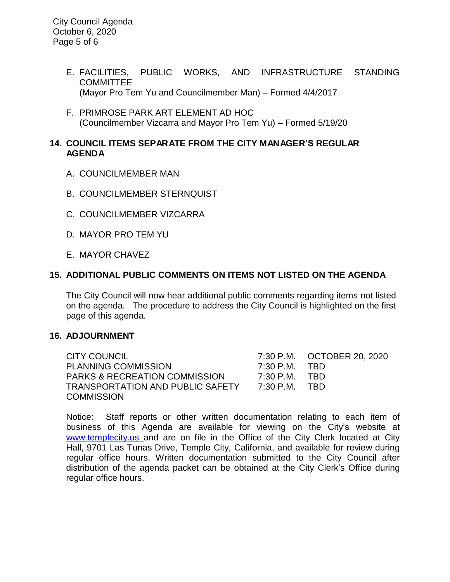- E. FACILITIES, PUBLIC WORKS, AND INFRASTRUCTURE STANDING **COMMITTEE** (Mayor Pro Tem Yu and Councilmember Man) – Formed 4/4/2017
- F. PRIMROSE PARK ART ELEMENT AD HOC (Councilmember Vizcarra and Mayor Pro Tem Yu) – Formed 5/19/20

# **14. COUNCIL ITEMS SEPARATE FROM THE CITY MANAGER'S REGULAR AGENDA**

- A. COUNCILMEMBER MAN
- B. COUNCILMEMBER STERNQUIST
- C. COUNCILMEMBER VIZCARRA
- D. MAYOR PRO TEM YU
- E. MAYOR CHAVEZ

# **15. ADDITIONAL PUBLIC COMMENTS ON ITEMS NOT LISTED ON THE AGENDA**

The City Council will now hear additional public comments regarding items not listed on the agenda. The procedure to address the City Council is highlighted on the first page of this agenda.

## **16. ADJOURNMENT**

CITY COUNCIL 7:30 P.M. OCTOBER 20, 2020 PLANNING COMMISSION 7:30 P.M. TBD PARKS & RECREATION COMMISSION 7:30 P.M. TBD TRANSPORTATION AND PUBLIC SAFETY 7:30 P.M. TBD **COMMISSION** 

Notice: Staff reports or other written documentation relating to each item of business of this Agenda are available for viewing on the City's website at [www.templecity.us](http://www.templecity.us/) and are on file in the Office of the City Clerk located at City Hall, 9701 Las Tunas Drive, Temple City, California, and available for review during regular office hours. Written documentation submitted to the City Council after distribution of the agenda packet can be obtained at the City Clerk's Office during regular office hours.